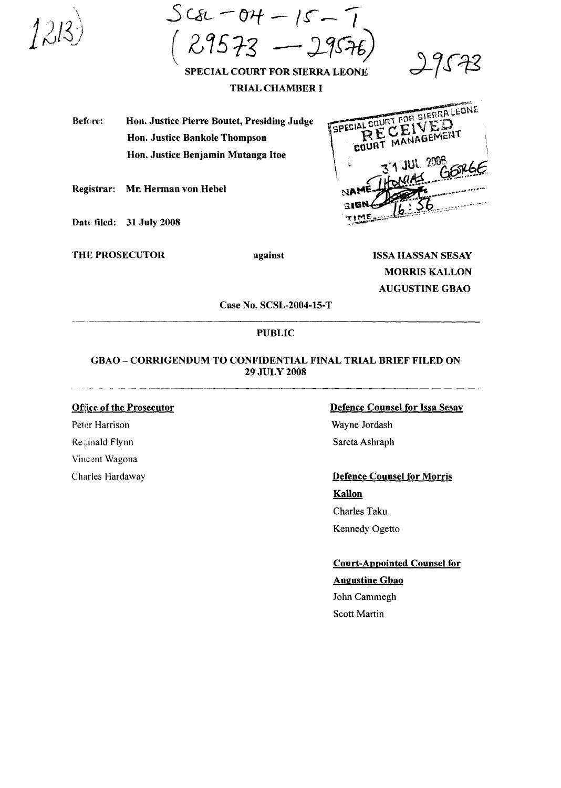$SC82 - 04 - 15 29573 - 2957$ 



SPECIAL COURT FOR SIERRA LEONE **TRIAL CHAMBER I** 

Before: Hon. Justice Pierre Boutet, Presiding Judge Hon. Justice Bankole Thompson Hon. Justice Benjamin Mutanga Itoe

Registrar: Mr. Herman von Hebel

Date filed: 31 July 2008

**THE PROSECUTOR** 

against

**ISSA HASSAN SESAY MORRIS KALLON AUGUSTINE GBAO** 

SPECIAL COURT FOR SIERRA LEONE

COURT

ECEIVED MANAGEMENT

Case No. SCSL-2004-15-T

## **PUBLIC**

# **GBAO - CORRIGENDUM TO CONFIDENTIAL FINAL TRIAL BRIEF FILED ON 29 JULY 2008**

**Office of the Prosecutor** Peter Harrison Reginald Flynn Vincent Wagona Charles Hardaway

#### **Defence Counsel for Issa Sesay**

Wayne Jordash Sareta Ashraph

#### **Defence Counsel for Morris**

Kallon Charles Taku Kennedy Ogetto

**Court-Appointed Counsel for** 

# **Augustine Gbao**

John Cammegh Scott Martin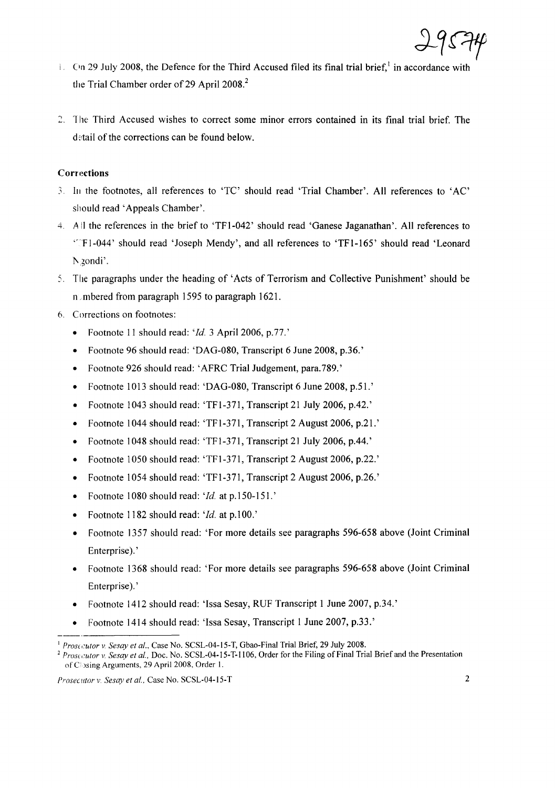

- $\ell$ . On 29 July 2008, the Defence for the Third Accused filed its final trial brief, in accordance with the Trial Chamber order of 29 April 2008.<sup>2</sup>
- 2. The Third Accused wishes to correct some minor errors contained in its final trial brief. The detail of the corrections can be found below.

## Corrections

- .'. III the footnotes, all references to 'TC' should read 'Trial Chamber'. All references to 'AC' should read 'Appeals Chamber'.
- 4. AII the references in the brief to 'TFI-042' should read 'Ganese Jaganathan'. All references to "FI-044' should read 'Joseph Mendy', and all references to 'TFI-165' should read 'Leonard Ngondi'.
- The paragraphs under the heading of 'Acts of Terrorism and Collective Punishment' should be n mbered from paragraph 1595 to paragraph 1621.
- 6. Corrections on footnotes:
	- Footnote 11 should read: 'Id. 3 April 2006, p.77.'
	- Footnote 96 should read: 'DAG-080, Transcript 6 June 2008, p.36.'
	- Footnote 926 should read: 'AFRC Trial Judgement, para.789.'
	- Footnote 1013 should read: 'DAG-080, Transcript 6 June 2008, p.51.'
	- Footnote 1043 should read: 'TFI-371, Transcript 21 July 2006, p.42.'
	- Footnote 1044 should read: 'TFI-371, Transcript 2 August 2006, p.21.'
	- Footnote 1048 should read: 'TFI-371, Transcript 21 July 2006, p.44.'
	- Footnote 1050 should read: 'TFI-371, Transcript 2 August 2006, p.22.'
	- Footnote 1054 should read: 'TFI-371, Transcript 2 August 2006, p.26.'
	- Footnote 1080 should read: *'Id.* at p.150-151.'
	- Footnote 1182 should read: 'Id. at p.100.'
	- Footnote 1357 should read: 'For more details see paragraphs 596-658 above (Joint Criminal Enterprise). '
	- Footnote 1368 should read: 'For more details see paragraphs 596-658 above (Joint Criminal Enterprise). '
	- Footnote 1412 should read: 'Issa Sesay, RUF Transcript 1 June 2007, p.34.'
	- Footnote 1414 should read: 'Issa Sesay, Transcript 1 June 2007, p.33.'

<sup>&</sup>lt;sup>1</sup> Prosecutor v. Sesay et al., Case No. SCSL-04-15-T, Gbao-Final Trial Brief, 29 July 2008.

<sup>&</sup>lt;sup>2</sup> *Prosecutor* v. *Sesay et al.*, Doc. No. SCSL-04-15-T-1106, Order for the Filing of Final Trial Brief and the Presentation of C<sub>2</sub> Sing Arguments, 29 April 2008, Order 1.

*Prosecutor v. Sesay et al.,* Case No. SCSL-04-15-T 2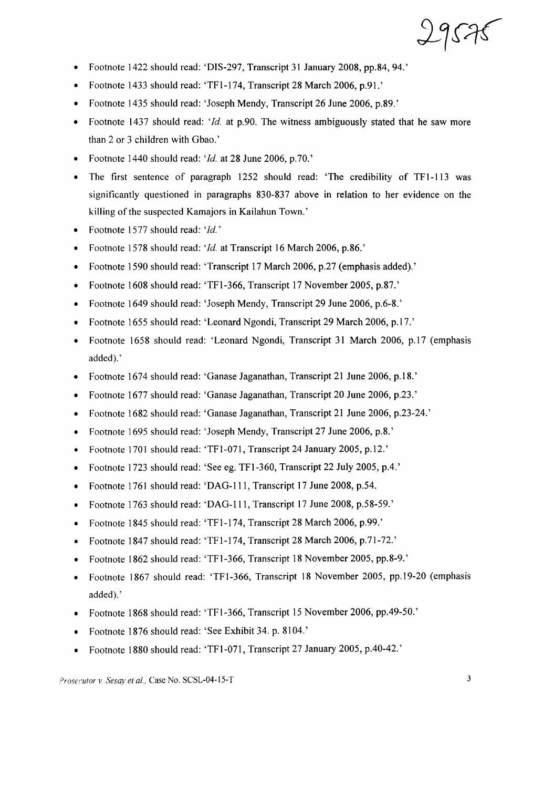- Footnote 1422 should read: 'DIS-297, Transcript 31 January 2008, pp.84, 94.'
- Footnote 1433 should read: 'TFI-174, Transcript 28 March 2006, p.91.'
- Footnote 1435 should read: 'Joseph Mendy, Transcript 26 June 2006, p.89.'
- Footnote 1437 should read: *'Id.* at p.90. The witness ambiguously stated that he saw more than 2 or 3 children with Gbao.'
- Footnote 1440 should read: *'Id.* at 28 June 2006, p.70.'
- The first sentence of paragraph 1252 should read: 'The credibility of TF1-113 was significantly questioned in paragraphs 830-837 above in relation to her evidence on the killing of the suspected Kamajors in Kailahun Town.'
- Footnote 1577 should read: *'Id. '*
- Footnote 1578 should read: *'Id.* at Transcript 16 March 2006, p.86.'
- Footnote 1590 should read: 'Transcript 17 March 2006, p.27 (emphasis added).'
- Footnote 1608 should read: 'TFI-366, Transcript 17 November 2005, p.87.'
- Footnote 1649 should read: 'Joseph Mendy, Transcript 29 June 2006, p.6-8.'
- Footnote 1655 should read: 'Leonard Ngondi, Transcript 29 March 2006, p.17.'
- Footnote 1658 should read: 'Leonard Ngondi, Transcript 31 March 2006, p.17 (emphasis added).'
- Footnote 1674 should read: 'Ganase Jaganathan, Transcript 21 June 2006, p.l8.'
- Footnote 1677 should read: 'Ganase Jaganathan, Transcript 20 June 2006, p.23.'
- Footnote 1682 should read: 'Ganase Jaganathan, Transcript 21 June 2006, p.23-24.'
- Footnote 1695 should read: 'Joseph Mendy, Transcript 27 June 2006, p.8.'
- Footnote 1701 should read: 'TFI-071, Transcript 24 January 2005, p.12.'
- Footnote 1723 should read: 'See eg. TF1-360, Transcript 22 July 2005, p.4.'
- Footnote 1761 should read: 'DAG-lll, Transcript 17 June 2008, p.54.
- Footnote 1763 should read: 'DAG-ll1, Transcript 17 June 2008, p.58-59.'
- Footnote 1845 should read: 'TF1-174, Transcript 28 March 2006, p.99.'
- Footnote 1847 should read: 'TFI-174, Transcript 28 March 2006, p.71-72.'
- Footnote 1862 should read: 'TFI-366, Transcript 18 November 2005, pp.8-9.'
- Footnote 1867 should read: 'TFI-366, Transcript 18 November 2005, pp.19-20 (emphasis added).'
- Footnote 1868 should read: 'TF1-366, Transcript 15 November 2006, pp.49-50.'
- Footnote 1876 should read: 'See Exhibit 34. p. 8104.'
- Footnote 1880 should read: 'TF1-071, Transcript 27 January 2005, p.40-42.'

*Prosecutor* v. *Sesay et al.*, Case No. SCSL-04-15-T 3